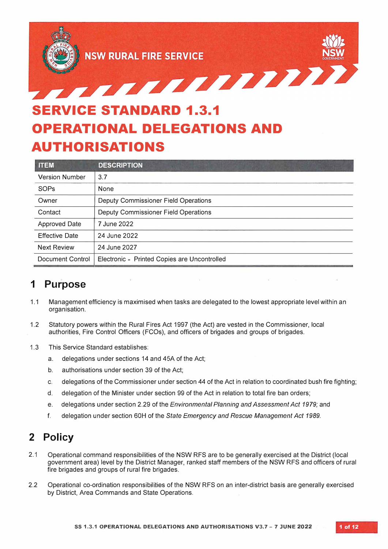

## **SERVICE STANDARD 1.3.1 OPERATIONAL DELEGATIONS AND AUTHORISATIONS**

| <b>ITEM</b>             | <b>DESCRIPTION</b>                           |
|-------------------------|----------------------------------------------|
| <b>Version Number</b>   | 3.7                                          |
| SOPs                    | None                                         |
| Owner                   | Deputy Commissioner Field Operations         |
| Contact                 | Deputy Commissioner Field Operations         |
| <b>Approved Date</b>    | 7 June 2022                                  |
| <b>Effective Date</b>   | 24 June 2022                                 |
| <b>Next Review</b>      | 24 June 2027                                 |
| <b>Document Control</b> | Electronic - Printed Copies are Uncontrolled |

## **1 Purpose**

- 1.1 Management efficiency is maximised when tasks are delegated to the lowest appropriate level within an organisation.
- 1.2 Statutory powers within the Rural Fires Act 1997 (the Act) are vested in the Commissioner, local authorities, Fire Control Officers (FCOs), and officers of brigades and groups of brigades.
- 1.3 This Service Standard establishes:
	- a. delegations under sections 14 and 45A of the Act;
	- b. authorisations under section 39 of the Act;
	- c. delegations of the Commissioner under section 44 of the Act in relation to coordinated bush fire fighting;
	- d. delegation of the Minister under section 99 of the Act in relation to total fire ban orders;
	- e. delegations under section 2.29 of the *Environmental Planning and Assessment Act 1979;* and
	- f. delegation under section 60H of the *State Emergency and Rescue Management Act 1989.*

#### **2 Policy**

- 2.1 Operational command responsibilities of the NSW RFS are to be generally exercised at the District (local government area) level by the District Manager, ranked staff members of the NSW RFS and officers of rural fire brigades and groups of rural fire brigades.
- 2.2 Operational co-ordination responsibilities of the NSW RFS on an inter-district basis are generally exercised by District, Area Commands and State Operations.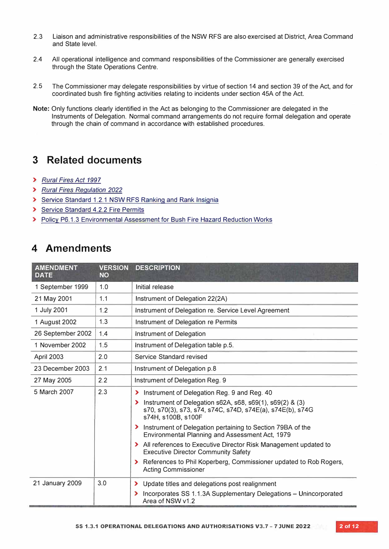- 2.3 Liaison and administrative responsibilities of the NSW RFS are also exercised at District, Area Command and State level.
- 2.4 All operational intelligence and command responsibilities of the Commissioner are generally exercised through the State Operations Centre.
- 2.5 The Commissioner may delegate responsibilities by virtue of section 14 and section 39 of the Act, and for coordinated bush fire fighting activities relating to incidents under section 45A of the Act.
- **Note:** Only functions clearly identified in the Act as belonging to the Commissioner are delegated in the Instruments of Delegation. Normal command arrangements do not require formal delegation and operate through the chain of command in accordance with established procedures.

### **3 Related documents**

- **>** *Rural Fires Act 1997*
- **>** *Rural Fires Regulation 2022*
- **>** Service Standard 1.2.1 NSW RFS Ranking and Rank Insignia
- **>** Service Standard 4.2.2 Fire Permits
- **>** Policy P6.1.3 Environmental Assessment for Bush Fire Hazard Reduction Works

## **4 Amendments**

| <b>AMENDMENT</b><br><b>DATE</b> | <b>VERSION</b><br><b>NO</b> | <b>DESCRIPTION</b>                                                                                                                                                                                                                                                                                                                                                                                                                                                                                                                                                  |  |
|---------------------------------|-----------------------------|---------------------------------------------------------------------------------------------------------------------------------------------------------------------------------------------------------------------------------------------------------------------------------------------------------------------------------------------------------------------------------------------------------------------------------------------------------------------------------------------------------------------------------------------------------------------|--|
| 1 September 1999                | 1.0                         | Initial release                                                                                                                                                                                                                                                                                                                                                                                                                                                                                                                                                     |  |
| 21 May 2001                     | 1.1                         | Instrument of Delegation 22(2A)                                                                                                                                                                                                                                                                                                                                                                                                                                                                                                                                     |  |
| 1 July 2001                     | 1.2                         | Instrument of Delegation re. Service Level Agreement                                                                                                                                                                                                                                                                                                                                                                                                                                                                                                                |  |
| 1 August 2002                   | 1.3                         | Instrument of Delegation re Permits                                                                                                                                                                                                                                                                                                                                                                                                                                                                                                                                 |  |
| 26 September 2002               | 1.4                         | Instrument of Delegation                                                                                                                                                                                                                                                                                                                                                                                                                                                                                                                                            |  |
| 1 November 2002                 | 1.5                         | Instrument of Delegation table p.5.                                                                                                                                                                                                                                                                                                                                                                                                                                                                                                                                 |  |
| April 2003                      | 2.0                         | Service Standard revised                                                                                                                                                                                                                                                                                                                                                                                                                                                                                                                                            |  |
| 23 December 2003                | 2.1                         | Instrument of Delegation p.8                                                                                                                                                                                                                                                                                                                                                                                                                                                                                                                                        |  |
| 27 May 2005                     | 2.2                         | Instrument of Delegation Reg. 9                                                                                                                                                                                                                                                                                                                                                                                                                                                                                                                                     |  |
| 5 March 2007                    | 2.3                         | Instrument of Delegation Reg. 9 and Reg. 40<br>⋗<br>Instrument of Delegation s62A, s68, s69(1), s69(2) & (3)<br>$\blacktriangleright$<br>s70, s70(3), s73, s74, s74C, s74D, s74E(a), s74E(b), s74G<br>s74H, s100B, s100F<br>> Instrument of Delegation pertaining to Section 79BA of the<br>Environmental Planning and Assessment Act, 1979<br>> All references to Executive Director Risk Management updated to<br><b>Executive Director Community Safety</b><br>> References to Phil Koperberg, Commissioner updated to Rob Rogers,<br><b>Acting Commissioner</b> |  |
| 21 January 2009                 | 3.0                         | Update titles and delegations post realignment<br>⋗<br>Incorporates SS 1.1.3A Supplementary Delegations - Unincorporated<br>$\blacktriangleright$<br>Area of NSW v1.2                                                                                                                                                                                                                                                                                                                                                                                               |  |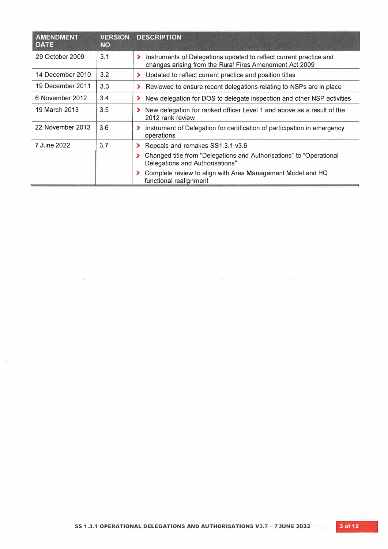| <b>AMENDMENT</b><br><b>DATE</b> | <b>VERSION</b><br><b>NO</b> | <b>DESCRIPTION</b>                                                                                                                 |
|---------------------------------|-----------------------------|------------------------------------------------------------------------------------------------------------------------------------|
| 29 October 2009                 | 3.1                         | Instruments of Delegations updated to reflect current practice and<br>⋗<br>changes arising from the Rural Fires Amendment Act 2009 |
| 14 December 2010                | 3.2                         | Updated to reflect current practice and position titles<br>$\blacktriangleright$                                                   |
| 19 December 2011                | 3.3                         | Reviewed to ensure recent delegations relating to NSPs are in place                                                                |
| 6 November 2012                 | 3.4                         | New delegation for DOS to delegate inspection and other NSP activities<br>$\blacktriangleright$                                    |
| 19 March 2013                   | 3.5                         | New delegation for ranked officer Level 1 and above as a result of the<br>2012 rank review                                         |
| 22 November 2013                | 3.6                         | Instrument of Delegation for certification of participation in emergency<br>operations                                             |
| 7 June 2022                     | 3.7                         | Repeals and remakes SS1.3.1 v3.6<br>$\blacktriangleright$                                                                          |
|                                 |                             | Changed title from "Delegations and Authorisations" to "Operational<br>Delegations and Authorisations"                             |
|                                 |                             | Complete review to align with Area Management Model and HQ<br>functional realignment                                               |

 $\rightarrow$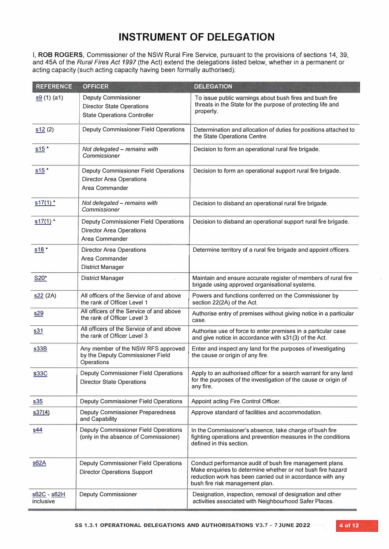I, **ROB ROGERS,** Commissioner of the NSW Rural Fire Service, pursuant to the provisions of sections 14, 39, and 45A of the *Rural Fires Act 1997* (the Act) extend the delegations listed below, whether in a permanent or acting capacity (such acting capacity having been formally authorised):

| <b>REFERENCE</b>         | <b>OFFICER</b>                                                                                       | <b>DELEGATION</b>                                                                                                                                                                                                        |  |
|--------------------------|------------------------------------------------------------------------------------------------------|--------------------------------------------------------------------------------------------------------------------------------------------------------------------------------------------------------------------------|--|
| s9(1)(a1)                | <b>Deputy Commissioner</b><br><b>Director State Operations</b><br><b>State Operations Controller</b> | To issue public warnings about bush fires and bush fire<br>threats in the State for the purpose of protecting life and<br>property.                                                                                      |  |
| s12(2)                   | Deputy Commissioner Field Operations                                                                 | Determination and allocation of duties for positions attached to<br>the State Operations Centre.                                                                                                                         |  |
| $s15$ *                  | Not delegated - remains with<br>Commissioner                                                         | Decision to form an operational rural fire brigade.                                                                                                                                                                      |  |
| $s15$ *                  | Deputy Commissioner Field Operations<br><b>Director Area Operations</b><br>Area Commander            | Decision to form an operational support rural fire brigade.                                                                                                                                                              |  |
| $s17(1)$ *               | Not delegated - remains with<br>Commissioner                                                         | Decision to disband an operational rural fire brigade.                                                                                                                                                                   |  |
| $s17(1)$ *               | Deputy Commissioner Field Operations<br><b>Director Area Operations</b><br>Area Commander            | Decision to disband an operational support rural fire brigade.                                                                                                                                                           |  |
| $s18*$                   | <b>Director Area Operations</b><br>Area Commander<br><b>District Manager</b>                         | Determine territory of a rural fire brigade and appoint officers.                                                                                                                                                        |  |
| S20*                     | <b>District Manager</b>                                                                              | Maintain and ensure accurate register of members of rural fire<br>brigade using approved organisational systems.                                                                                                         |  |
| s22(2A)                  | All officers of the Service of and above<br>the rank of Officer Level 1                              | Powers and functions conferred on the Commissioner by<br>section 22(2A) of the Act.                                                                                                                                      |  |
| <u>s29</u>               | All officers of the Service of and above<br>the rank of Officer Level 3                              | Authorise entry of premises without giving notice in a particular<br>case.                                                                                                                                               |  |
| s31                      | All officers of the Service of and above<br>the rank of Officer Level 3                              | Authorise use of force to enter premises in a particular case<br>and give notice in accordance with s31(3) of the Act.                                                                                                   |  |
| s33B                     | Any member of the NSW RFS approved<br>by the Deputy Commissioner Field<br>Operations                 | Enter and inspect any land for the purposes of investigating<br>the cause or origin of any fire.                                                                                                                         |  |
| <b>s33C</b>              | Deputy Commissioner Field Operations<br><b>Director State Operations</b>                             | Apply to an authorised officer for a search warrant for any land<br>for the purposes of the investigation of the cause or origin of<br>any fire.                                                                         |  |
| s35                      | <b>Deputy Commissioner Field Operations</b>                                                          | Appoint acting Fire Control Officer.                                                                                                                                                                                     |  |
| s37(4)                   | Deputy Commissioner Preparedness<br>and Capability                                                   | Approve standard of facilities and accommodation.                                                                                                                                                                        |  |
| <u>s44</u>               | <b>Deputy Commissioner Field Operations</b><br>(only in the absence of Commissioner)                 | In the Commissioner's absence, take charge of bush fire<br>fighting operations and prevention measures in the conditions<br>defined in this section.                                                                     |  |
| s62A                     | <b>Deputy Commissioner Field Operations</b><br><b>Director Operations Support</b>                    | Conduct performance audit of bush fire management plans.<br>Make enquiries to determine whether or not bush fire hazard<br>reduction work has been carried out in accordance with any<br>bush fire risk management plan. |  |
| s62C - s62H<br>inclusive | <b>Deputy Commissioner</b>                                                                           | Designation, inspection, removal of designation and other<br>activities associated with Neighbourhood Safer Places.                                                                                                      |  |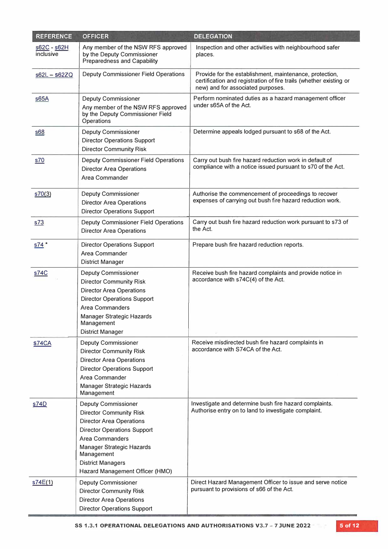| <b>REFERENCE</b>         | <b>OFFICER</b>                                                                                                                                                                                                                                                            | <b>DELEGATION</b>                                                                                                                                                  |  |
|--------------------------|---------------------------------------------------------------------------------------------------------------------------------------------------------------------------------------------------------------------------------------------------------------------------|--------------------------------------------------------------------------------------------------------------------------------------------------------------------|--|
| s62C - s62H<br>inclusive | Any member of the NSW RFS approved<br>by the Deputy Commissioner<br>Preparedness and Capability                                                                                                                                                                           | Inspection and other activities with neighbourhood safer<br>places.                                                                                                |  |
| $s62L - s62ZQ$           | Deputy Commissioner Field Operations                                                                                                                                                                                                                                      | Provide for the establishment, maintenance, protection,<br>certification and registration of fire trails (whether existing or<br>new) and for associated purposes. |  |
| $\underline{s65A}$       | Deputy Commissioner<br>Any member of the NSW RFS approved<br>by the Deputy Commissioner Field<br>Operations                                                                                                                                                               | Perform nominated duties as a hazard management officer<br>under s65A of the Act.                                                                                  |  |
| <u>s68</u>               | <b>Deputy Commissioner</b><br><b>Director Operations Support</b><br><b>Director Community Risk</b>                                                                                                                                                                        | Determine appeals lodged pursuant to s68 of the Act.                                                                                                               |  |
| s70                      | Deputy Commissioner Field Operations<br><b>Director Area Operations</b><br>Area Commander                                                                                                                                                                                 | Carry out bush fire hazard reduction work in default of<br>compliance with a notice issued pursuant to s70 of the Act.                                             |  |
| s70(3)                   | <b>Deputy Commissioner</b><br><b>Director Area Operations</b><br><b>Director Operations Support</b>                                                                                                                                                                       | Authorise the commencement of proceedings to recover<br>expenses of carrying out bush fire hazard reduction work.                                                  |  |
| s73                      | Deputy Commissioner Field Operations<br><b>Director Area Operations</b>                                                                                                                                                                                                   | Carry out bush fire hazard reduction work pursuant to s73 of<br>the Act.                                                                                           |  |
| $s74$ *                  | <b>Director Operations Support</b><br>Area Commander<br><b>District Manager</b>                                                                                                                                                                                           | Prepare bush fire hazard reduction reports.                                                                                                                        |  |
| s74C                     | <b>Deputy Commissioner</b><br><b>Director Community Risk</b><br><b>Director Area Operations</b><br><b>Director Operations Support</b><br>Area Commanders<br>Manager Strategic Hazards<br>Management<br><b>District Manager</b>                                            | Receive bush fire hazard complaints and provide notice in<br>accordance with s74C(4) of the Act.                                                                   |  |
| <b>S74CA</b>             | <b>Deputy Commissioner</b><br><b>Director Community Risk</b><br><b>Director Area Operations</b><br><b>Director Operations Support</b><br>Area Commander<br>Manager Strategic Hazards<br>Management                                                                        | Receive misdirected bush fire hazard complaints in<br>accordance with S74CA of the Act.                                                                            |  |
| <u>s74D</u>              | <b>Deputy Commissioner</b><br><b>Director Community Risk</b><br><b>Director Area Operations</b><br><b>Director Operations Support</b><br><b>Area Commanders</b><br>Manager Strategic Hazards<br>Management<br><b>District Managers</b><br>Hazard Management Officer (HMO) | Investigate and determine bush fire hazard complaints.<br>Authorise entry on to land to investigate complaint.                                                     |  |
| s74E(1)                  | Deputy Commissioner<br><b>Director Community Risk</b><br><b>Director Area Operations</b><br><b>Director Operations Support</b>                                                                                                                                            | Direct Hazard Management Officer to issue and serve notice<br>pursuant to provisions of s66 of the Act.                                                            |  |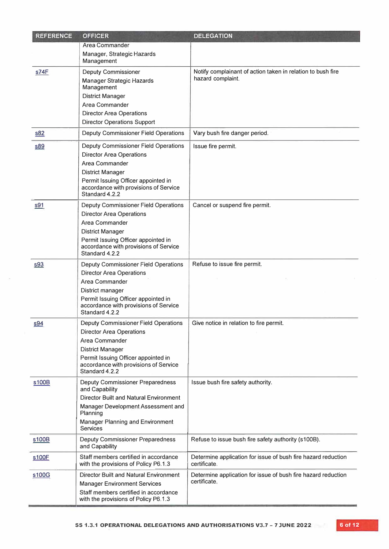| <b>REFERENCE</b> | <b>OFFICER</b>                                                                | <b>DELEGATION</b>                                                             |  |
|------------------|-------------------------------------------------------------------------------|-------------------------------------------------------------------------------|--|
|                  | Area Commander                                                                |                                                                               |  |
|                  | Manager, Strategic Hazards<br>Management                                      |                                                                               |  |
| s74F             | <b>Deputy Commissioner</b>                                                    | Notify complainant of action taken in relation to bush fire                   |  |
|                  | Manager Strategic Hazards<br>Management                                       | hazard complaint.                                                             |  |
|                  | <b>District Manager</b>                                                       |                                                                               |  |
|                  | Area Commander                                                                |                                                                               |  |
|                  | <b>Director Area Operations</b>                                               |                                                                               |  |
|                  | <b>Director Operations Support</b>                                            |                                                                               |  |
| s82              | Deputy Commissioner Field Operations                                          | Vary bush fire danger period.                                                 |  |
| <u>s89</u>       | Deputy Commissioner Field Operations                                          | Issue fire permit.                                                            |  |
|                  | <b>Director Area Operations</b>                                               |                                                                               |  |
|                  | Area Commander                                                                |                                                                               |  |
|                  | <b>District Manager</b>                                                       |                                                                               |  |
|                  | Permit Issuing Officer appointed in                                           |                                                                               |  |
|                  | accordance with provisions of Service<br>Standard 4.2.2                       |                                                                               |  |
| s91              | <b>Deputy Commissioner Field Operations</b>                                   | Cancel or suspend fire permit.                                                |  |
|                  | <b>Director Area Operations</b>                                               |                                                                               |  |
|                  | Area Commander                                                                |                                                                               |  |
|                  | <b>District Manager</b>                                                       |                                                                               |  |
|                  | Permit Issuing Officer appointed in                                           |                                                                               |  |
|                  | accordance with provisions of Service<br>Standard 4.2.2                       |                                                                               |  |
| s93              | Deputy Commissioner Field Operations                                          | Refuse to issue fire permit.                                                  |  |
|                  | <b>Director Area Operations</b>                                               |                                                                               |  |
|                  | Area Commander                                                                |                                                                               |  |
|                  | District manager                                                              |                                                                               |  |
|                  | Permit Issuing Officer appointed in<br>accordance with provisions of Service  |                                                                               |  |
|                  | Standard 4.2.2                                                                |                                                                               |  |
| s94              | Deputy Commissioner Field Operations                                          | Give notice in relation to fire permit.                                       |  |
|                  | Director Area Operations                                                      |                                                                               |  |
|                  | Area Commander                                                                |                                                                               |  |
|                  | <b>District Manager</b>                                                       |                                                                               |  |
|                  | Permit Issuing Officer appointed in                                           |                                                                               |  |
|                  | accordance with provisions of Service<br>Standard 4.2.2                       |                                                                               |  |
| s100B            | Deputy Commissioner Preparedness                                              | Issue bush fire safety authority.                                             |  |
|                  | and Capability<br><b>Director Built and Natural Environment</b>               |                                                                               |  |
|                  | Manager Development Assessment and                                            |                                                                               |  |
|                  | Planning                                                                      |                                                                               |  |
|                  | Manager Planning and Environment                                              |                                                                               |  |
|                  | Services                                                                      |                                                                               |  |
| s100B            | Deputy Commissioner Preparedness<br>and Capability                            | Refuse to issue bush fire safety authority (s100B).                           |  |
| s100F            | Staff members certified in accordance<br>with the provisions of Policy P6.1.3 | Determine application for issue of bush fire hazard reduction<br>certificate. |  |
| s100G            | <b>Director Built and Natural Environment</b>                                 | Determine application for issue of bush fire hazard reduction                 |  |
|                  | <b>Manager Environment Services</b>                                           | certificate.                                                                  |  |
|                  | Staff members certified in accordance                                         |                                                                               |  |
|                  | with the provisions of Policy P6.1.3                                          |                                                                               |  |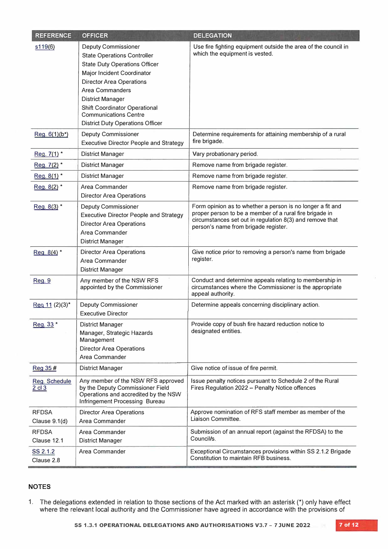| <b>REFERENCE</b>                | <b>OFFICER</b>                                                                                                                                                                                                                                                                                                                                    | <b>DELEGATION</b>                                                                                                                                                                                                         |  |
|---------------------------------|---------------------------------------------------------------------------------------------------------------------------------------------------------------------------------------------------------------------------------------------------------------------------------------------------------------------------------------------------|---------------------------------------------------------------------------------------------------------------------------------------------------------------------------------------------------------------------------|--|
| s <sub>119</sub> (6)            | <b>Deputy Commissioner</b><br><b>State Operations Controller</b><br><b>State Duty Operations Officer</b><br>Major Incident Coordinator<br><b>Director Area Operations</b><br><b>Area Commanders</b><br><b>District Manager</b><br><b>Shift Coordinator Operational</b><br><b>Communications Centre</b><br><b>District Duty Operations Officer</b> | Use fire fighting equipment outside the area of the council in<br>which the equipment is vested.                                                                                                                          |  |
| $Req. 6(1)(b*)$                 | Deputy Commissioner<br><b>Executive Director People and Strategy</b>                                                                                                                                                                                                                                                                              | Determine requirements for attaining membership of a rural<br>fire brigade.                                                                                                                                               |  |
| Reg. 7(1) *                     | District Manager                                                                                                                                                                                                                                                                                                                                  | Vary probationary period.                                                                                                                                                                                                 |  |
| Reg. 7(2) *                     | <b>District Manager</b>                                                                                                                                                                                                                                                                                                                           | Remove name from brigade register.                                                                                                                                                                                        |  |
| Reg. 8(1) *                     | District Manager                                                                                                                                                                                                                                                                                                                                  | Remove name from brigade register.                                                                                                                                                                                        |  |
| Reg. 8(2) *                     | Area Commander<br><b>Director Area Operations</b>                                                                                                                                                                                                                                                                                                 | Remove name from brigade register.                                                                                                                                                                                        |  |
| Reg. 8(3) *                     | <b>Deputy Commissioner</b><br><b>Executive Director People and Strategy</b><br><b>Director Area Operations</b><br>Area Commander<br><b>District Manager</b>                                                                                                                                                                                       | Form opinion as to whether a person is no longer a fit and<br>proper person to be a member of a rural fire brigade in<br>circumstances set out in regulation 8(3) and remove that<br>person's name from brigade register. |  |
| Reg. 8(4) *                     | <b>Director Area Operations</b><br>Area Commander<br><b>District Manager</b>                                                                                                                                                                                                                                                                      | Give notice prior to removing a person's name from brigade<br>register.                                                                                                                                                   |  |
| <b>Reg. 9</b>                   | Any member of the NSW RFS<br>appointed by the Commissioner                                                                                                                                                                                                                                                                                        | Conduct and determine appeals relating to membership in<br>circumstances where the Commissioner is the appropriate<br>appeal authority.                                                                                   |  |
| Req 11 (2)(3)*                  | Deputy Commissioner<br><b>Executive Director</b>                                                                                                                                                                                                                                                                                                  | Determine appeals concerning disciplinary action.                                                                                                                                                                         |  |
| Reg. 33*                        | <b>District Manager</b><br>Manager, Strategic Hazards<br>Management<br><b>Director Area Operations</b><br>Area Commander                                                                                                                                                                                                                          | Provide copy of bush fire hazard reduction notice to<br>designated entities.                                                                                                                                              |  |
| Reg 35#                         | <b>District Manager</b>                                                                                                                                                                                                                                                                                                                           | Give notice of issue of fire permit.                                                                                                                                                                                      |  |
| Reg. Schedule<br>$2$ cl $3$     | Any member of the NSW RFS approved<br>by the Deputy Commissioner Field<br>Operations and accredited by the NSW<br>Infringement Processing Bureau                                                                                                                                                                                                  | Issue penalty notices pursuant to Schedule 2 of the Rural<br>Fires Regulation 2022 - Penalty Notice offences                                                                                                              |  |
| <b>RFDSA</b><br>Clause $9.1(d)$ | <b>Director Area Operations</b><br>Area Commander                                                                                                                                                                                                                                                                                                 | Approve nomination of RFS staff member as member of the<br>Liaison Committee.                                                                                                                                             |  |
| <b>RFDSA</b><br>Clause 12.1     | Area Commander<br><b>District Manager</b>                                                                                                                                                                                                                                                                                                         | Submission of an annual report (against the RFDSA) to the<br>Council/s.                                                                                                                                                   |  |
| SS 2.1.2<br>Clause 2.8          | Area Commander                                                                                                                                                                                                                                                                                                                                    | Exceptional Circumstances provisions within SS 2.1.2 Brigade<br>Constitution to maintain RFB business.                                                                                                                    |  |

#### **NOTES**

1. The delegations extended in relation to those sections of the Act marked with an asterisk (\*) only have effect where the relevant local authority and the Commissioner have agreed in accordance with the provisions of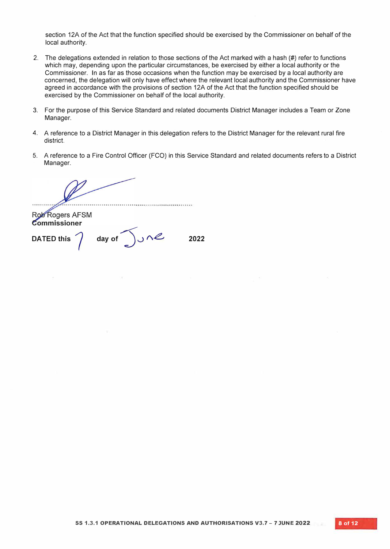section 12A of the Act that the function specified should be exercised by the Commissioner on behalf of the local authority.

- 2. The delegations extended in relation to those sections of the Act marked with a hash (#) refer to functions which may, depending upon the particular circumstances, be exercised by either a local authority or the Commissioner. In as far as those occasions when the function may be exercised by a local authority are concerned, the delegation will only have effect where the relevant local authority and the Commissioner have agreed in accordance with the provisions of section 12A of the Act that the function specified should be exercised by the Commissioner on behalf of the local authority.
- 3. For the purpose of this Service Standard and related documents District Manager includes a Team or Zone Manager.
- 4. A reference to a District Manager in this delegation refers to the District Manager for the relevant rural fire district.
- 5. A reference to a Fire Control Officer (FCO) in this Service Standard and related documents refers to a District Manager.

**Rob Rogers AFSM** Commissioner

**DATED this 7**

day of  $\bigcup_{u \in \mathcal{U}} \bigcap_{v \in \mathcal{U}} \bigcap_{v \in \mathcal{U}} \bigcap_{v \in \mathcal{U}} \bigcap_{v \in \mathcal{U}} \bigcap_{v \in \mathcal{U}} \bigcap_{v \in \mathcal{U}} \bigcap_{v \in \mathcal{U}} \bigcap_{v \in \mathcal{U}} \bigcap_{v \in \mathcal{U}} \bigcap_{v \in \mathcal{U}} \bigcap_{v \in \mathcal{U}} \bigcap_{v \in \mathcal{U}} \bigcap_{v \in \mathcal{U}} \bigcap_{v \in \mathcal{U}} \bigcap_{v \in \mathcal{U}} \bigcap_{v$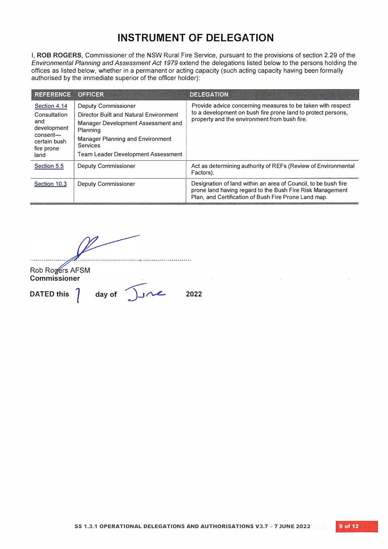I, **ROB ROGERS,** Commissioner of the NSW Rural Fire Service, pursuant to the provisions of section 2.29 of the *Environmental Planning and Assessment Act 1979* extend the delegations listed below to the persons holding the offices as listed below, whether in a permanent or acting capacity (such acting capacity having been formally authorised by the immediate superior of the officer holder):

| <b>REFERENCE</b>                                                                                     | <b>OFFICER</b>                                                                                                                                                                                                      | <b>DELEGATION</b>                                                                                                                                                                   |
|------------------------------------------------------------------------------------------------------|---------------------------------------------------------------------------------------------------------------------------------------------------------------------------------------------------------------------|-------------------------------------------------------------------------------------------------------------------------------------------------------------------------------------|
| Section 4.14<br>Consultation<br>and<br>development<br>consent—<br>certain bush<br>fire prone<br>land | Deputy Commissioner<br>Director Built and Natural Environment<br>Manager Development Assessment and<br>Planning<br><b>Manager Planning and Environment</b><br><b>Services</b><br>Team Leader Development Assessment | Provide advice concerning measures to be taken with respect<br>to a development on bush fire prone land to protect persons,<br>property and the environment from bush fire.         |
| Section 5.5                                                                                          | Deputy Commissioner                                                                                                                                                                                                 | Act as determining authority of REFs (Review of Environmental<br>Factors).                                                                                                          |
| Section 10.3                                                                                         | Deputy Commissioner                                                                                                                                                                                                 | Designation of land within an area of Council, to be bush fire<br>prone land having regard to the Bush Fire Risk Management<br>Plan, and Certification of Bush Fire Prone Land map. |

. . . . . . . . . . . . . . . **Rob Rogers AFSM Commissioner** day of  $\int$   $\int$ **DATED this / 2022**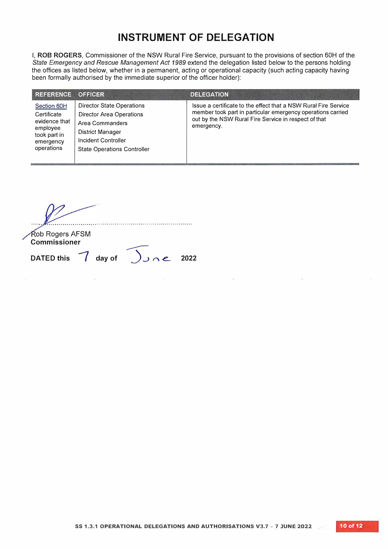I, **ROB ROGERS,** Commissioner of the NSW Rural Fire Service, pursuant to the provisions of section 60H of the *State Emergency and Rescue Management Act 1989* extend the delegation listed below to the persons holding the offices as listed below, whether in a permanent, acting or operational capacity (such acting capacity having been formally authorised by the immediate superior of the officer holder):

| <b>REFERENCE</b>                                                                                   | <b>OFFICER</b>                                                                                                                                                          | <b>DELEGATION</b>                                                                                                                                                                                    |
|----------------------------------------------------------------------------------------------------|-------------------------------------------------------------------------------------------------------------------------------------------------------------------------|------------------------------------------------------------------------------------------------------------------------------------------------------------------------------------------------------|
| Section 60H<br>Certificate<br>evidence that<br>employee<br>took part in<br>emergency<br>operations | <b>Director State Operations</b><br><b>Director Area Operations</b><br>Area Commanders<br>District Manager<br>Incident Controller<br><b>State Operations Controller</b> | Issue a certificate to the effect that a NSW Rural Fire Service<br>member took part in particular emergency operations carried<br>out by the NSW Rural Fire Service in respect of that<br>emergency. |

**Rob Rogers AFSM Commissioner DATED this { day of**  *,..,..-:--* $\int$ *J*  $\cap$  **e** 2022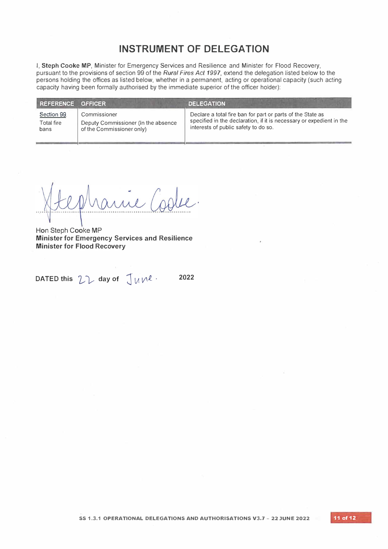I, **Steph Cooke MP,** Minister for Emergency Services and Resilience and Minister for Flood Recovery, pursuant to the provisions of section 99 of the *Rural Fires Act 1997,* extend the delegation listed below to the persons holding the offices as listed below, whether in a permanent, acting or operational capacity (such acting capacity having been formally authorised by the immediate superior of the officer holder):

| <b>REFERENCE</b> | <b>OFFICER</b>                      | <b>DELEGATION</b>                                                    |
|------------------|-------------------------------------|----------------------------------------------------------------------|
| Section 99       | Commissioner                        | Declare a total fire ban for part or parts of the State as           |
| Total fire       | Deputy Commissioner (In the absence | specified in the declaration, if it is necessary or expedient in the |
| bans             | of the Commissioner only)           | interests of public safety to do so.                                 |

**Hon** Steph Cooke **MP Minister for Emergency Services and Resilience Minister for Flood Recovery** 

 $D$ ATED this  $2\pi$  day of  $\int$   $M$   $\mu$  <sup>2022</sup>